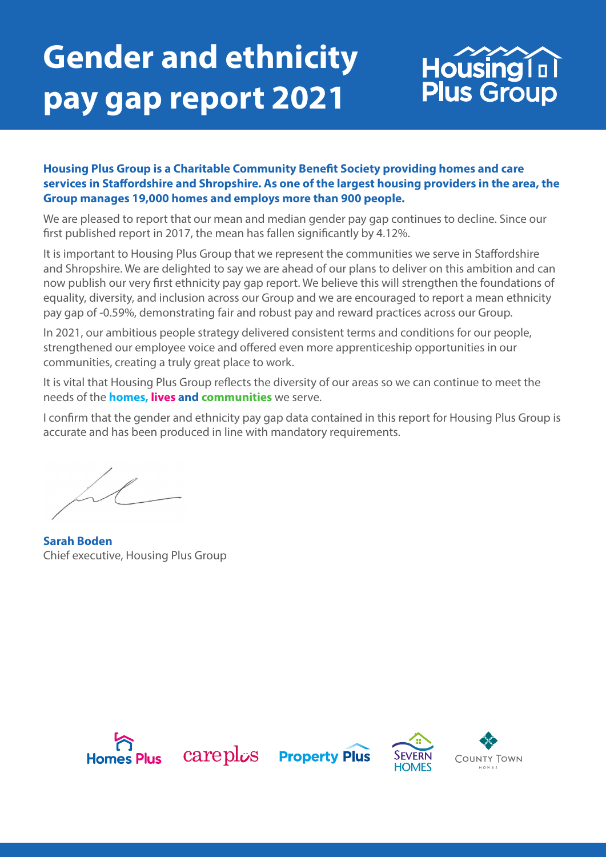# **Gender and ethnicity pay gap report 2021**



#### **Housing Plus Group is a Charitable Community Benefit Society providing homes and care services in Staffordshire and Shropshire. As one of the largest housing providers in the area, the Group manages 19,000 homes and employs more than 900 people.**

We are pleased to report that our mean and median gender pay gap continues to decline. Since our first published report in 2017, the mean has fallen significantly by 4.12%.

It is important to Housing Plus Group that we represent the communities we serve in Staffordshire and Shropshire. We are delighted to say we are ahead of our plans to deliver on this ambition and can now publish our very first ethnicity pay gap report. We believe this will strengthen the foundations of equality, diversity, and inclusion across our Group and we are encouraged to report a mean ethnicity pay gap of -0.59%, demonstrating fair and robust pay and reward practices across our Group.

In 2021, our ambitious people strategy delivered consistent terms and conditions for our people, strengthened our employee voice and offered even more apprenticeship opportunities in our communities, creating a truly great place to work.

It is vital that Housing Plus Group reflects the diversity of our areas so we can continue to meet the needs of the **homes, lives and communities** we serve.

I confirm that the gender and ethnicity pay gap data contained in this report for Housing Plus Group is accurate and has been produced in line with mandatory requirements.

**Sarah Boden** Chief executive, Housing Plus Group

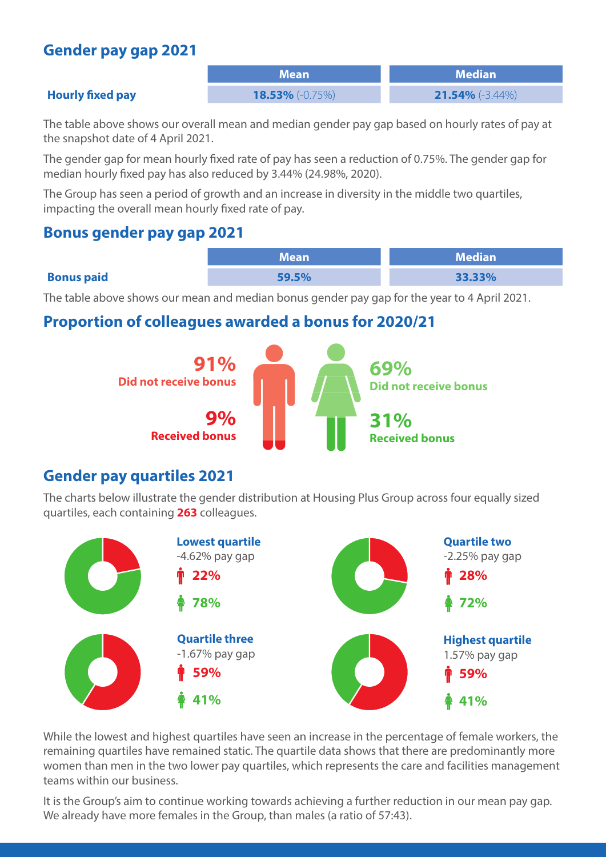### **Gender pay gap 2021**

| I M | e۱ | 4 I F |  |
|-----|----|-------|--|
|     |    |       |  |

**Mean Median Hourly fixed pay 18.53%** (-0.75%) **21.54%** (-3.44%)

#### The table above shows our overall mean and median gender pay gap based on hourly rates of pay at the snapshot date of 4 April 2021.

The gender gap for mean hourly fixed rate of pay has seen a reduction of 0.75%. The gender gap for median hourly fixed pay has also reduced by 3.44% (24.98%, 2020).

The Group has seen a period of growth and an increase in diversity in the middle two quartiles, impacting the overall mean hourly fixed rate of pay.

#### **Bonus gender pay gap 2021**

|                   | Mean  | $\blacksquare$ Median $\blacksquare$ |
|-------------------|-------|--------------------------------------|
| <b>Bonus paid</b> | 59.5% | 33.33%                               |

The table above shows our mean and median bonus gender pay gap for the year to 4 April 2021.

#### **Proportion of colleagues awarded a bonus for 2020/21**



#### **Gender pay quartiles 2021**

The charts below illustrate the gender distribution at Housing Plus Group across four equally sized quartiles, each containing **263** colleagues.



While the lowest and highest quartiles have seen an increase in the percentage of female workers, the remaining quartiles have remained static. The quartile data shows that there are predominantly more women than men in the two lower pay quartiles, which represents the care and facilities management teams within our business.

It is the Group's aim to continue working towards achieving a further reduction in our mean pay gap. We already have more females in the Group, than males (a ratio of 57:43).